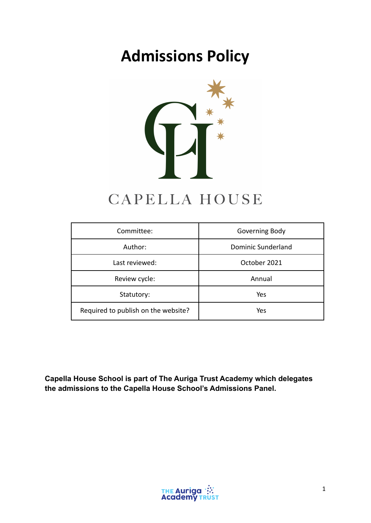# **Admissions Policy**



## CAPELLA HOUSE

| Committee:                          | Governing Body     |
|-------------------------------------|--------------------|
| Author:                             | Dominic Sunderland |
| Last reviewed:                      | October 2021       |
| Review cycle:                       | Annual             |
| Statutory:                          | Yes                |
| Required to publish on the website? | Yes                |

**Capella House School is part of The Auriga Trust Academy which delegates the admissions to the Capella House School's Admissions Panel.**

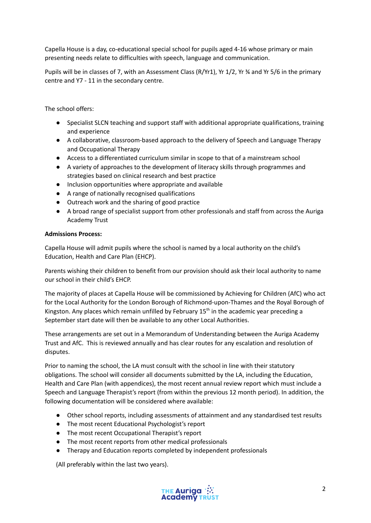Capella House is a day, co-educational special school for pupils aged 4-16 whose primary or main presenting needs relate to difficulties with speech, language and communication.

Pupils will be in classes of 7, with an Assessment Class (R/Yr1), Yr 1/2, Yr ¾ and Yr 5/6 in the primary centre and Y7 - 11 in the secondary centre.

The school offers:

- Specialist SLCN teaching and support staff with additional appropriate qualifications, training and experience
- A collaborative, classroom-based approach to the delivery of Speech and Language Therapy and Occupational Therapy
- Access to a differentiated curriculum similar in scope to that of a mainstream school
- A variety of approaches to the development of literacy skills through programmes and strategies based on clinical research and best practice
- Inclusion opportunities where appropriate and available
- A range of nationally recognised qualifications
- Outreach work and the sharing of good practice
- A broad range of specialist support from other professionals and staff from across the Auriga Academy Trust

#### **Admissions Process:**

Capella House will admit pupils where the school is named by a local authority on the child's Education, Health and Care Plan (EHCP).

Parents wishing their children to benefit from our provision should ask their local authority to name our school in their child's EHCP.

The majority of places at Capella House will be commissioned by Achieving for Children (AfC) who act for the Local Authority for the London Borough of Richmond-upon-Thames and the Royal Borough of Kingston. Any places which remain unfilled by February 15<sup>th</sup> in the academic year preceding a September start date will then be available to any other Local Authorities.

These arrangements are set out in a Memorandum of Understanding between the Auriga Academy Trust and AfC. This is reviewed annually and has clear routes for any escalation and resolution of disputes.

Prior to naming the school, the LA must consult with the school in line with their statutory obligations. The school will consider all documents submitted by the LA, including the Education, Health and Care Plan (with appendices), the most recent annual review report which must include a Speech and Language Therapist's report (from within the previous 12 month period). In addition, the following documentation will be considered where available:

- Other school reports, including assessments of attainment and any standardised test results
- The most recent Educational Psychologist's report
- The most recent Occupational Therapist's report
- The most recent reports from other medical professionals
- Therapy and Education reports completed by independent professionals

(All preferably within the last two years).

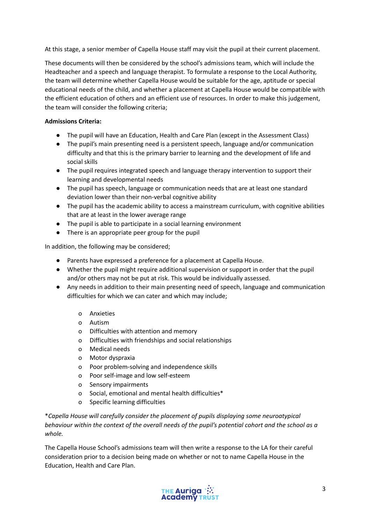At this stage, a senior member of Capella House staff may visit the pupil at their current placement.

These documents will then be considered by the school's admissions team, which will include the Headteacher and a speech and language therapist. To formulate a response to the Local Authority, the team will determine whether Capella House would be suitable for the age, aptitude or special educational needs of the child, and whether a placement at Capella House would be compatible with the efficient education of others and an efficient use of resources. In order to make this judgement, the team will consider the following criteria;

#### **Admissions Criteria:**

- The pupil will have an Education, Health and Care Plan (except in the Assessment Class)
- The pupil's main presenting need is a persistent speech, language and/or communication difficulty and that this is the primary barrier to learning and the development of life and social skills
- The pupil requires integrated speech and language therapy intervention to support their learning and developmental needs
- The pupil has speech, language or communication needs that are at least one standard deviation lower than their non-verbal cognitive ability
- The pupil has the academic ability to access a mainstream curriculum, with cognitive abilities that are at least in the lower average range
- The pupil is able to participate in a social learning environment
- There is an appropriate peer group for the pupil

In addition, the following may be considered;

- Parents have expressed a preference for a placement at Capella House.
- Whether the pupil might require additional supervision or support in order that the pupil and/or others may not be put at risk. This would be individually assessed.
- Any needs in addition to their main presenting need of speech, language and communication difficulties for which we can cater and which may include;
	- o Anxieties
	- o Autism
	- o Difficulties with attention and memory
	- o Difficulties with friendships and social relationships
	- o Medical needs
	- o Motor dyspraxia
	- o Poor problem-solving and independence skills
	- o Poor self-image and low self-esteem
	- o Sensory impairments
	- o Social, emotional and mental health difficulties\*
	- o Specific learning difficulties

\**Capella House will carefully consider the placement of pupils displaying some neuroatypical* behaviour within the context of the overall needs of the pupil's potential cohort and the school as a *whole.*

The Capella House School's admissions team will then write a response to the LA for their careful consideration prior to a decision being made on whether or not to name Capella House in the Education, Health and Care Plan.

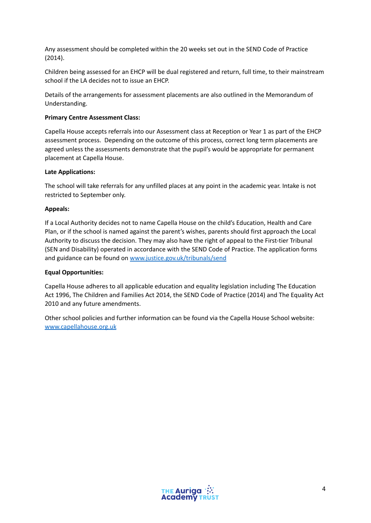Any assessment should be completed within the 20 weeks set out in the SEND Code of Practice (2014).

Children being assessed for an EHCP will be dual registered and return, full time, to their mainstream school if the LA decides not to issue an EHCP.

Details of the arrangements for assessment placements are also outlined in the Memorandum of Understanding.

#### **Primary Centre Assessment Class:**

Capella House accepts referrals into our Assessment class at Reception or Year 1 as part of the EHCP assessment process. Depending on the outcome of this process, correct long term placements are agreed unless the assessments demonstrate that the pupil's would be appropriate for permanent placement at Capella House.

#### **Late Applications:**

The school will take referrals for any unfilled places at any point in the academic year. Intake is not restricted to September only.

#### **Appeals:**

If a Local Authority decides not to name Capella House on the child's Education, Health and Care Plan, or if the school is named against the parent's wishes, parents should first approach the Local Authority to discuss the decision. They may also have the right of appeal to the First-tier Tribunal (SEN and Disability) operated in accordance with the SEND Code of Practice. The application forms and guidance can be found on [www.justice.gov.uk/tribunals/send](http://www.justice.gov.uk/tribunals/send)

#### **Equal Opportunities:**

Capella House adheres to all applicable education and equality legislation including The Education Act 1996, The Children and Families Act 2014, the SEND Code of Practice (2014) and The Equality Act 2010 and any future amendments.

Other school policies and further information can be found via the Capella House School website: [www.capellahouse.org.uk](http://www.capellahouse.org.uk)